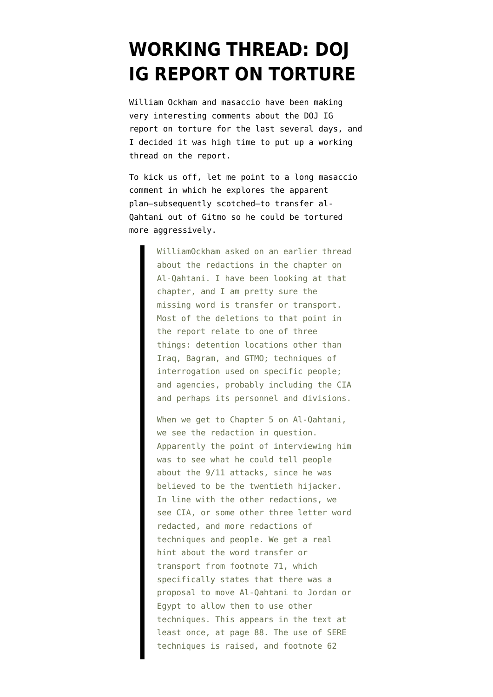## **[WORKING THREAD: DOJ](https://www.emptywheel.net/2008/05/26/working-thread-doj-ig-report-on-torture/) [IG REPORT ON TORTURE](https://www.emptywheel.net/2008/05/26/working-thread-doj-ig-report-on-torture/)**

William Ockham and masaccio have been making very interesting comments about the [DOJ IG](http://www.usdoj.gov/oig/special/s0805/final.pdf) [report on torture](http://www.usdoj.gov/oig/special/s0805/final.pdf) for the last several days, and I decided it was high time to put up a working thread on the report.

To kick us off, let me point to a long masaccio [comment](http://emptywheel.firedoglake.com/2008/05/23/the-bae-bribes-funded-covert-ops/#comment-70845) in which he explores the apparent plan–subsequently scotched–to transfer al-Qahtani out of Gitmo so he could be tortured more aggressively.

> WilliamOckham asked on an earlier thread about the redactions in the chapter on Al-Qahtani. I have been looking at that chapter, and I am pretty sure the missing word is transfer or transport. Most of the deletions to that point in the report relate to one of three things: detention locations other than Iraq, Bagram, and GTMO; techniques of interrogation used on specific people; and agencies, probably including the CIA and perhaps its personnel and divisions.

> When we get to Chapter 5 on Al-Qahtani, we see the redaction in question. Apparently the point of interviewing him was to see what he could tell people about the 9/11 attacks, since he was believed to be the twentieth hijacker. In line with the other redactions, we see CIA, or some other three letter word redacted, and more redactions of techniques and people. We get a real hint about the word transfer or transport from footnote 71, which specifically states that there was a proposal to move Al-Qahtani to Jordan or Egypt to allow them to use other techniques. This appears in the text at least once, at page 88. The use of SERE techniques is raised, and footnote 62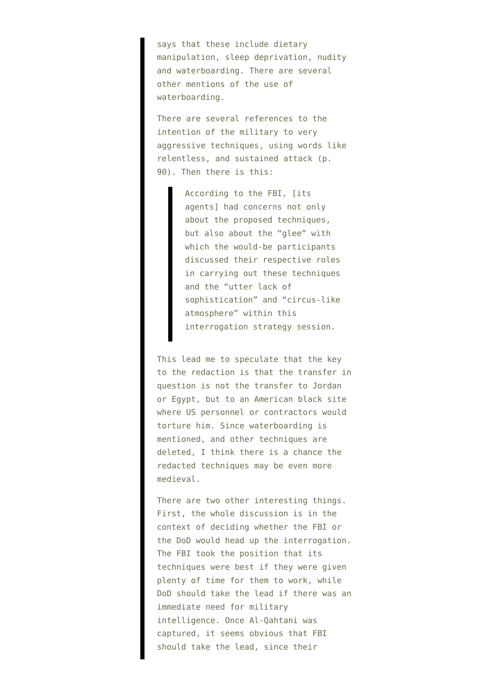says that these include dietary manipulation, sleep deprivation, nudity and waterboarding. There are several other mentions of the use of waterboarding.

There are several references to the intention of the military to very aggressive techniques, using words like relentless, and sustained attack (p. 90). Then there is this:

> According to the FBI, [its agents] had concerns not only about the proposed techniques, but also about the "glee" with which the would-be participants discussed their respective roles in carrying out these techniques and the "utter lack of sophistication" and "circus-like atmosphere" within this interrogation strategy session.

This lead me to speculate that the key to the redaction is that the transfer in question is not the transfer to Jordan or Egypt, but to an American black site where US personnel or contractors would torture him. Since waterboarding is mentioned, and other techniques are deleted, I think there is a chance the redacted techniques may be even more medieval.

There are two other interesting things. First, the whole discussion is in the context of deciding whether the FBI or the DoD would head up the interrogation. The FBI took the position that its techniques were best if they were given plenty of time for them to work, while DoD should take the lead if there was an immediate need for military intelligence. Once Al-Qahtani was captured, it seems obvious that FBI should take the lead, since their